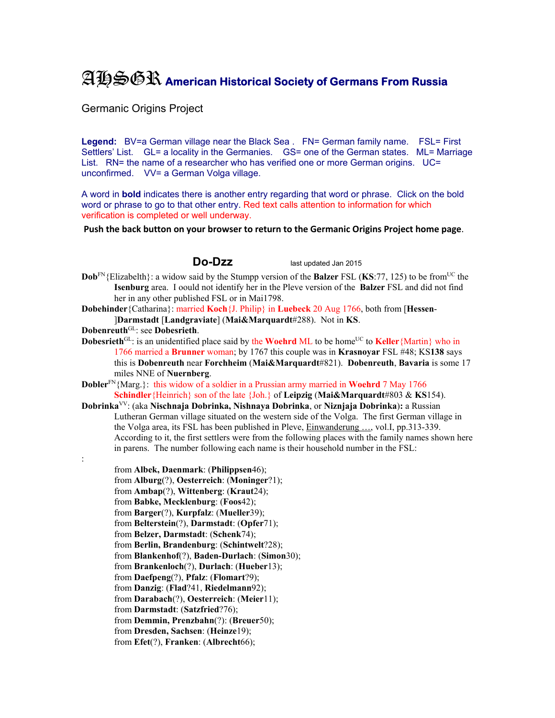## AHSGR **American Historical Society of Germans From Russia**

Germanic Origins Project

Legend: BV=a German village near the Black Sea . FN= German family name. FSL= First Settlers' List. GL= a locality in the Germanies. GS= one of the German states. ML= Marriage List. RN= the name of a researcher who has verified one or more German origins. UC= unconfirmed. VV= a German Volga village.

A word in **bold** indicates there is another entry regarding that word or phrase. Click on the bold word or phrase to go to that other entry. Red text calls attention to information for which verification is completed or well underway.

**Push the back button on your browser to return to the Germanic Origins Project home page**.

**Do-Dzz** last updated Jan 2015

**Dob**<sup>FN</sup>{Elizabelth}: a widow said by the Stumpp version of the **Balzer** FSL (**KS**:77, 125) to be from<sup>UC</sup> the **Isenburg** area. I oould not identify her in the Pleve version of the **Balzer** FSL and did not find her in any other published FSL or in Mai1798.

**Dobehinder**{Catharina}: married **Koch**{J. Philip} in **Luebeck** 20 Aug 1766, both from [**Hessen**- ]**Darmstadt** [**Landgraviate**] (**Mai&Marquardt**#288). Not in **KS**.

**Dobenreuth**GL: see **Dobesrieth**.

:

**Dobesrieth**<sup>GL</sup>: is an unidentified place said by the **Woehrd ML** to be home<sup>UC</sup> to **Keller** {Martin} who in 1766 married a **Brunner** woman; by 1767 this couple was in **Krasnoyar** FSL #48; KS**138** says this is **Dobenreuth** near **Forchheim** (**Mai&Marquardt**#821). **Dobenreuth**, **Bavaria** is some 17 miles NNE of **Nuernberg**.

**Dobler**FN{Marg.}: this widow of a soldier in a Prussian army married in **Woehrd** 7 May 1766 **Schindler**{Heinrich} son of the late {Joh.} of **Leipzig** (**Mai&Marquardt**#803 & **KS**154).

**Dobrinka**VV: (aka **Nischnaja Dobrinka, Nishnaya Dobrinka**, or **Niznjaja Dobrinka**)**:** a Russian Lutheran German village situated on the western side of the Volga. The first German village in the Volga area, its FSL has been published in Pleve, Einwanderung …, vol.I, pp.313-339. According to it, the first settlers were from the following places with the family names shown here in parens. The number following each name is their household number in the FSL:

from **Albek, Daenmark**: (**Philippsen**46); from **Alburg**(?), **Oesterreich**: (**Moninger**?1); from **Ambap**(?), **Wittenberg**: (**Kraut**24); from **Babke, Mecklenburg**: (**Foos**42); from **Barger**(?), **Kurpfalz**: (**Mueller**39); from **Belterstein**(?), **Darmstadt**: (**Opfer**71); from **Belzer, Darmstadt**: (**Schenk**74); from **Berlin, Brandenburg**: (**Schintwelt**?28); from **Blankenhof**(?), **Baden-Durlach**: (**Simon**30); from **Brankenloch**(?), **Durlach**: (**Hueber**13); from **Daefpeng**(?), **Pfalz**: (**Flomart**?9); from **Danzig**: (**Flad**?41, **Riedelmann**92); from **Darabach**(?), **Oesterreich**: (**Meier**11); from **Darmstadt**: (**Satzfried**?76); from **Demmin, Prenzbahn**(?): (**Breuer**50); from **Dresden, Sachsen**: (**Heinze**19); from **Efet**(?), **Franken**: (**Albrecht**66);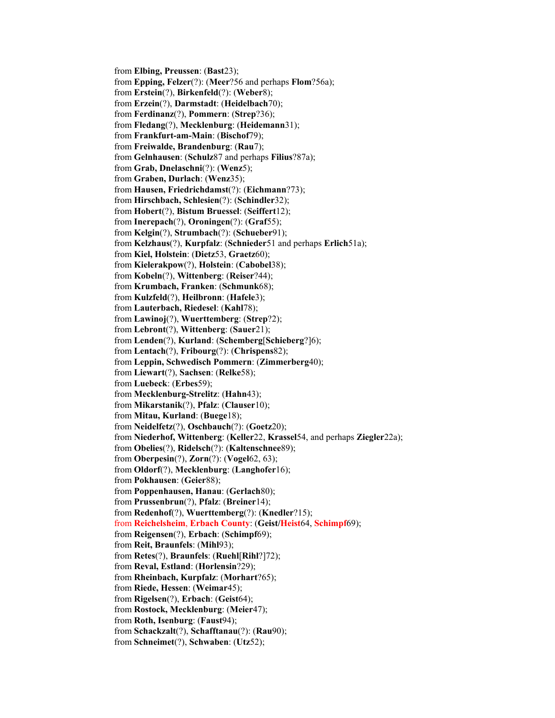from **Elbing, Preussen**: (**Bast**23); from **Epping, Felzer**(?): (**Meer**?56 and perhaps **Flom**?56a); from **Erstein**(?), **Birkenfeld**(?): (**Weber**8); from **Erzein**(?), **Darmstadt**: (**Heidelbach**70); from **Ferdinanz**(?), **Pommern**: (**Strep**?36); from **Fledang**(?), **Mecklenburg**: (**Heidemann**31); from **Frankfurt-am-Main**: (**Bischof**79); from **Freiwalde, Brandenburg**: (**Rau**7); from **Gelnhausen**: (**Schulz**87 and perhaps **Filius**?87a); from **Grab, Dnelaschni**(?): (**Wenz**5); from **Graben, Durlach**: (**Wenz**35); from **Hausen, Friedrichdamst**(?): (**Eichmann**?73); from **Hirschbach, Schlesien**(?): (**Schindler**32); from **Hobert**(?), **Bistum Bruessel**: (**Seiffert**12); from **Inerepach**(?), **Oroningen**(?): (**Graf**55); from **Kelgin**(?), **Strumbach**(?): (**Schueber**91); from **Kelzhaus**(?), **Kurpfalz**: (**Schnieder**51 and perhaps **Erlich**51a); from **Kiel, Holstein**: (**Dietz**53, **Graetz**60); from **Kielerakpow**(?), **Holstein**: (**Cabobel**38); from **Kobeln**(?), **Wittenberg**: (**Reiser**?44); from **Krumbach, Franken**: (**Schmunk**68); from **Kulzfeld**(?), **Heilbronn**: (**Hafele**3); from **Lauterbach, Riedesel**: (**Kahl**78); from **Lawinoj**(?), **Wuerttemberg**: (**Strep**?2); from **Lebront**(?), **Wittenberg**: (**Sauer**21); from **Lenden**(?), **Kurland**: (**Schemberg**[**Schieberg**?]6); from **Lentach**(?), **Fribourg**(?): (**Chrispens**82); from **Leppin, Schwedisch Pommern**: (**Zimmerberg**40); from **Liewart**(?), **Sachsen**: (**Relke**58); from **Luebeck**: (**Erbes**59); from **Mecklenburg-Strelitz**: (**Hahn**43); from **Mikarstanik**(?), **Pfalz**: (**Clauser**10); from **Mitau, Kurland**: (**Buege**18); from **Neidelfetz**(?), **Oschbauch**(?): (**Goetz**20); from **Niederhof, Wittenberg**: (**Keller**22, **Krassel**54, and perhaps **Ziegler**22a); from **Obelies**(?), **Ridelsch**(?): (**Kaltenschnee**89); from **Oberpesin**(?), **Zorn**(?): (**Vogel**62, 63); from **Oldorf**(?), **Mecklenburg**: (**Langhofer**16); from **Pokhausen**: (**Geier**88); from **Poppenhausen, Hanau**: (**Gerlach**80); from **Prussenbrun**(?), **Pfalz**: (**Breiner**14); from **Redenhof**(?), **Wuerttemberg**(?): (**Knedler**?15); from **Reichelsheim**, **Erbach County**: (**Geist/Heist**64, **Schimpf**69); from **Reigensen**(?), **Erbach**: (**Schimpf**69); from **Reit, Braunfels**: (**Mihl**93); from **Retes**(?), **Braunfels**: (**Ruehl**[**Rihl**?]72); from **Reval, Estland**: (**Horlensin**?29); from **Rheinbach, Kurpfalz**: (**Morhart**?65); from **Riede, Hessen**: (**Weimar**45); from **Rigelsen**(?), **Erbach**: (**Geist**64); from **Rostock, Mecklenburg**: (**Meier**47); from **Roth, Isenburg**: (**Faust**94); from **Schackzalt**(?), **Schafftanau**(?): (**Rau**90); from **Schneimet**(?), **Schwaben**: (**Utz**52);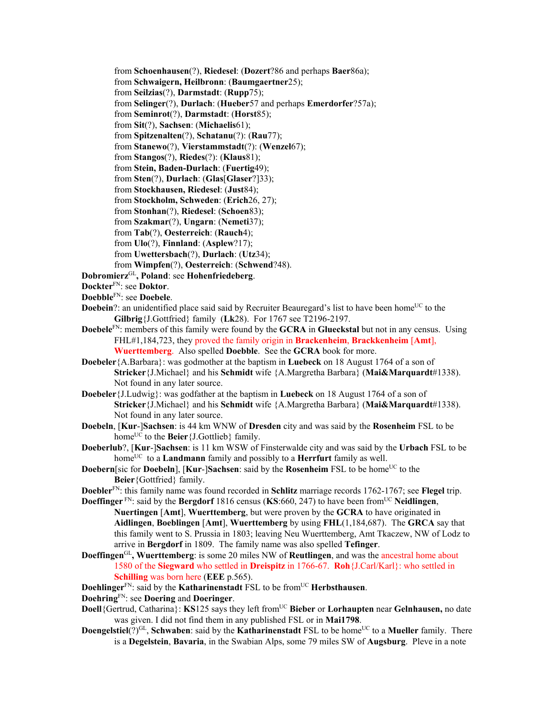from **Schoenhausen**(?), **Riedesel**: (**Dozert**?86 and perhaps **Baer**86a); from **Schwaigern, Heilbronn**: (**Baumgaertner**25); from **Seilzias**(?), **Darmstadt**: (**Rupp**75); from **Selinger**(?), **Durlach**: (**Hueber**57 and perhaps **Emerdorfer**?57a); from **Seminrot**(?), **Darmstadt**: (**Horst**85); from **Sit**(?), **Sachsen**: (**Michaelis**61); from **Spitzenalten**(?), **Schatanu**(?): (**Rau**77); from **Stanewo**(?), **Vierstammstadt**(?): (**Wenzel**67); from **Stangos**(?), **Riedes**(?): (**Klaus**81); from **Stein, Baden-Durlach**: (**Fuertig**49); from **Sten**(?), **Durlach**: (**Glas**[**Glaser**?]33); from **Stockhausen, Riedesel**: (**Just**84); from **Stockholm, Schweden**: (**Erich**26, 27); from **Stonhan**(?), **Riedesel**: (**Schoen**83); from **Szakmar**(?), **Ungarn**: (**Nemeti**37); from **Tab**(?), **Oesterreich**: (**Rauch**4); from **Ulo**(?), **Finnland**: (**Asplew**?17); from **Uwettersbach**(?), **Durlach**: (**Utz**34); from **Wimpfen**(?), **Oesterreich**: (**Schwend**?48). **Dobromierz**GL**, Poland**: see **Hohenfriedeberg**. **Dockter**FN: see **Doktor**. **Doebble**FN: see **Doebele**. **Doebein**?: an unidentified place said said by Recruiter Beauregard's list to have been home<sup>UC</sup> to the **Gilbrig**{J.Gottfried} family (**Lk**28). For 1767 see T2196-2197. **Doebele**FN: members of this family were found by the **GCRA** in **Glueckstal** but not in any census. Using FHL#1,184,723, they proved the family origin in **Brackenheim**, **Brackkenheim** [**Amt**], **Wuerttemberg**. Also spelled **Doebble**. See the **GCRA** book for more. **Doebeler**{A.Barbara}: was godmother at the baptism in **Luebeck** on 18 August 1764 of a son of **Stricker**{J.Michael} and his **Schmidt** wife {A.Margretha Barbara} (**Mai&Marquardt**#1338). Not found in any later source.

- **Doebeler**{J.Ludwig}: was godfather at the baptism in **Luebeck** on 18 August 1764 of a son of **Stricker**{J.Michael} and his **Schmidt** wife {A.Margretha Barbara} (**Mai&Marquardt**#1338). Not found in any later source.
- **Doebeln**, [**Kur**-]**Sachsen**: is 44 km WNW of **Dresden** city and was said by the **Rosenheim** FSL to be home<sup>UC</sup> to the **Beier** {J.Gottlieb} family.
- **Doeberlub**?, [**Kur**-]**Sachsen**: is 11 km WSW of Finsterwalde city and was said by the **Urbach** FSL to be home<sup>UC</sup> to a **Landmann** family and possibly to a **Herrfurt** family as well.
- **Doebern**[sic for **Doebeln**], [**Kur-**]Sachsen: said by the **Rosenheim** FSL to be home<sup>UC</sup> to the **Beier**{Gottfried} family.
- **Doebler**FN: this family name was found recorded in **Schlitz** marriage records 1762-1767; see **Flegel** trip. **Doeffinger** FN: said by the **Bergdorf** 1816 census (**KS**:660, 247) to have been from<sup>UC</sup> Neidlingen,
	- **Nuertingen** [**Amt**], **Wuerttemberg**, but were proven by the **GCRA** to have originated in **Aidlingen**, **Boeblingen** [**Amt**], **Wuerttemberg** by using **FHL**(1,184,687). The **GRCA** say that this family went to S. Prussia in 1803; leaving Neu Wuerttemberg, Amt Tkaczew, NW of Lodz to arrive in **Bergdorf** in 1809. The family name was also spelled **Tefinger**.
- **Doeffingen**GL**, Wuerttemberg**: is some 20 miles NW of **Reutlingen**, and was the ancestral home about 1580 of the **Siegward** who settled in **Dreispitz** in 1766-67. **Roh**{J.Carl/Karl}: who settled in **Schilling** was born here (**EEE** p.565).

**Doehlinger**<sup>FN</sup>: said by the **Katharinenstadt** FSL to be from<sup>UC</sup> **Herbsthausen**.

**Doehring**FN: see **Doering** and **Doeringer**.

- **Doell**{Gertrud, Catharina}: **KS**125 says they left from<sup>UC</sup> Bieber or Lorhaupten near Gelnhausen, no date was given. I did not find them in any published FSL or in **Mai1798**.
- **Doengelstiel**(?)<sup>GL</sup>, **Schwaben**: said by the **Katharinenstadt** FSL to be home<sup>UC</sup> to a **Mueller** family. There is a **Degelstein**, **Bavaria**, in the Swabian Alps, some 79 miles SW of **Augsburg**. Pleve in a note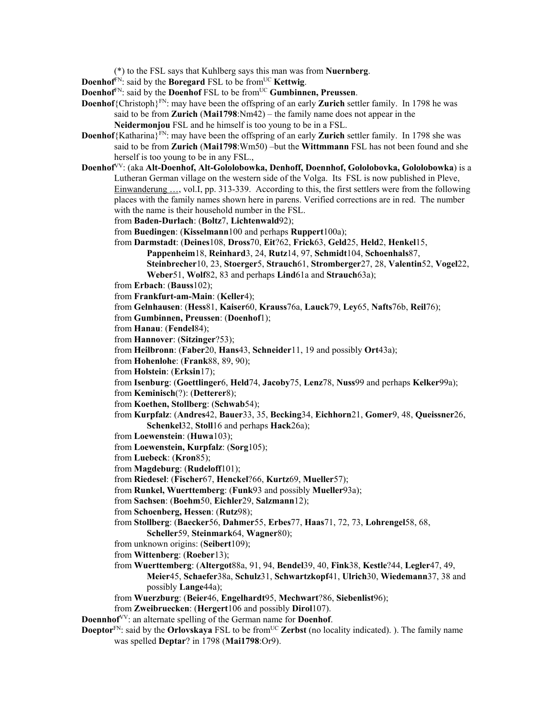(\*) to the FSL says that Kuhlberg says this man was from **Nuernberg**.

- **Doenhof**FN: said by the **Boregard** FSL to be fromUC **Kettwig**.
- **Doenhof**<sup>FN</sup>: said by the **Doenhof** FSL to be from<sup>UC</sup> **Gumbinnen, Preussen**.
- **Doenhof**{Christoph}FN: may have been the offspring of an early **Zurich** settler family. In 1798 he was said to be from **Zurich** (**Mai1798**:Nm42) – the family name does not appear in the
	- **Neidermonjou** FSL and he himself is too young to be in a FSL.
- **Doenhof**{Katharina}<sup>FN</sup>: may have been the offspring of an early **Zurich** settler family. In 1798 she was said to be from **Zurich** (**Mai1798**:Wm50) –but the **Wittmmann** FSL has not been found and she herself is too young to be in any FSL.,
- **Doenhof**VV: (aka **Alt-Doenhof, Alt-Gololobowka, Denhoff, Doennhof, Gololobovka, Gololobowka**) is a Lutheran German village on the western side of the Volga. Its FSL is now published in Pleve, Einwanderung …, vol.I, pp. 313-339. According to this, the first settlers were from the following places with the family names shown here in parens. Verified corrections are in red. The number with the name is their household number in the FSL.
	- from **Baden-Durlach**: (**Boltz**7, **Lichtenwald**92);
	- from **Buedingen**: (**Kisselmann**100 and perhaps **Ruppert**100a);
	- from **Darmstadt**: (**Deines**108, **Dross**70, **Eit**?62, **Frick**63, **Geld**25, **Held**2, **Henkel**15,
		- **Pappenheim**18, **Reinhard**3, 24, **Rutz**14, 97, **Schmidt**104, **Schoenhals**87,
			- **Steinbrecher**10, 23, **Stoerger**5, **Strauch**61, **Stromberger**27, 28, **Valentin**52, **Vogel**22, **Weber**51, **Wolf**82, 83 and perhaps **Lind**61a and **Strauch**63a);
	- from **Erbach**: (**Bauss**102);
	- from **Frankfurt-am-Main**: (**Keller**4);
	- from **Gelnhausen**: (**Hess**81, **Kaiser**60, **Krauss**76a, **Lauck**79, **Ley**65, **Nafts**76b, **Reil**76);
	- from **Gumbinnen, Preussen**: (**Doenhof**1);
	- from **Hanau**: (**Fendel**84);
	- from **Hannover**: (**Sitzinger**?53);
	- from **Heilbronn**: (**Faber**20, **Hans**43, **Schneider**11, 19 and possibly **Ort**43a);
	- from **Hohenlohe**: (**Frank**88, 89, 90);
	- from **Holstein**: (**Erksin**17);
	- from **Isenburg**: (**Goettlinger**6, **Held**74, **Jacoby**75, **Lenz**78, **Nuss**99 and perhaps **Kelker**99a);
	- from **Keminisch**(?): (**Detterer**8);
	- from **Koethen, Stollberg**: (**Schwab**54);
	- from **Kurpfalz**: (**Andres**42, **Bauer**33, 35, **Becking**34, **Eichhorn**21, **Gomer**9, 48, **Queissner**26, **Schenkel**32, **Stoll**16 and perhaps **Hack**26a);
	- from **Loewenstein**: (**Huwa**103);
	- from **Loewenstein, Kurpfalz**: (**Sorg**105);
	- from **Luebeck**: (**Kron**85);
	- from **Magdeburg**: (**Rudeloff**101);
	- from **Riedesel**: (**Fischer**67, **Henckel**?66, **Kurtz**69, **Mueller**57);
	- from **Runkel, Wuerttemberg**: (**Funk**93 and possibly **Mueller**93a);
	- from **Sachsen**: (**Boehm**50, **Eichler**29, **Salzmann**12);
	- from **Schoenberg, Hessen**: (**Rutz**98);
	- from **Stollberg**: (**Baecker**56, **Dahmer**55, **Erbes**77, **Haas**71, 72, 73, **Lohrengel**58, 68, **Scheller**59, **Steinmark**64, **Wagner**80);
	- from unknown origins: (**Seibert**109);
	- from **Wittenberg**: (**Roeber**13);
	- from **Wuerttemberg**: (**Altergot**88a, 91, 94, **Bendel**39, 40, **Fink**38, **Kestle**?44, **Legler**47, 49, **Meier**45, **Schaefer**38a, **Schulz**31, **Schwartzkopf**41, **Ulrich**30, **Wiedemann**37, 38 and possibly **Lange**44a);
	- from **Wuerzburg**: (**Beier**46, **Engelhardt**95, **Mechwart**?86, **Siebenlist**96);
	- from **Zweibruecken**: (**Hergert**106 and possibly **Dirol**107).
- **Doennhof**VV: an alternate spelling of the German name for **Doenhof**.
- **Doeptor**<sup>FN</sup>: said by the **Orlovskaya** FSL to be from<sup>UC</sup> **Zerbst** (no locality indicated). ). The family name was spelled **Deptar**? in 1798 (**Mai1798**:Or9).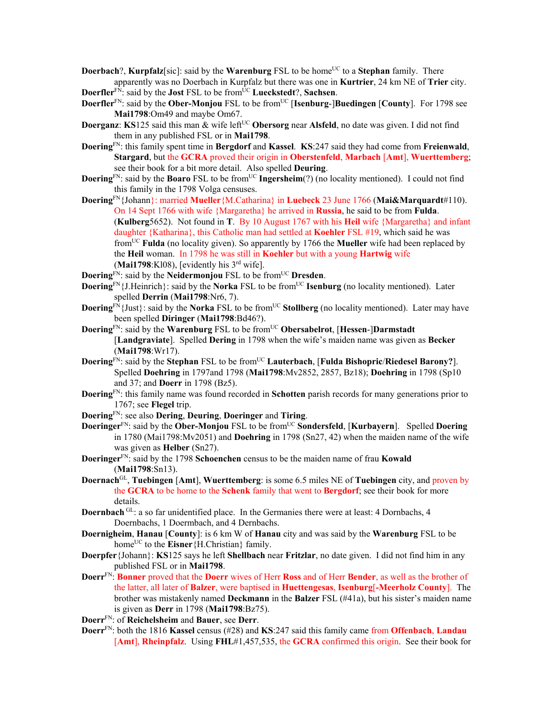**Doerbach**?, **Kurpfalz**[sic]: said by the **Warenburg** FSL to be home<sup>UC</sup> to a **Stephan** family. There apparently was no Doerbach in Kurpfalz but there was one in **Kurtrier**, 24 km NE of **Trier** city.

**Doerfler**<sup>FN</sup>: said by the **Jost** FSL to be from<sup>UC</sup> **Lueckstedt**?, **Sachsen**.

- **Doerfler**<sup>FN</sup>: said by the **Ober-Monjou** FSL to be from<sup>UC</sup> [Isenburg-]Buedingen [County]. For 1798 see **Mai1798**:Om49 and maybe Om67.
- **Doerganz**: **KS**125 said this man & wife left<sup>UC</sup> Obersorg near Alsfeld, no date was given. I did not find them in any published FSL or in **Mai1798**.
- **Doering**FN: this family spent time in **Bergdorf** and **Kassel**. **KS**:247 said they had come from **Freienwald**, **Stargard**, but the **GCRA** proved their origin in **Oberstenfeld**, **Marbach** [**Amt**], **Wuerttemberg**; see their book for a bit more detail. Also spelled **Deuring**.
- **Doering**<sup>FN</sup>: said by the **Boaro** FSL to be from<sup>UC</sup> **Ingersheim**(?) (no locality mentioned). I could not find this family in the 1798 Volga censuses.
- **Doering**FN{Johann}: married **Mueller**{M.Catharina} in **Luebeck** 23 June 1766 (**Mai&Marquardt**#110). On 14 Sept 1766 with wife {Margaretha} he arrived in **Russia**, he said to be from **Fulda**. (**Kulberg**5652). Not found in **T**. By 10 August 1767 with his **Heil** wife {Margaretha} and infant daughter {Katharina}, this Catholic man had settled at **Koehler** FSL #19, which said he was fromUC **Fulda** (no locality given). So apparently by 1766 the **Mueller** wife had been replaced by the **Heil** woman. In 1798 he was still in **Koehler** but with a young **Hartwig** wife (**Mai1798**:Kl08), [evidently his 3rd wife].
- **Doering**<sup>FN</sup>: said by the **Neidermonjou** FSL to be from<sup>UC</sup> **Dresden**.
- **Doering**<sup>FN</sup>{J.Heinrich}: said by the **Norka** FSL to be from<sup>UC</sup> **Isenburg** (no locality mentioned). Later spelled **Derrin** (**Mai1798**:Nr6, 7).
- **Doering**<sup>FN</sup>{Just}: said by the **Norka** FSL to be from<sup>UC</sup> **Stollberg** (no locality mentioned). Later may have been spelled **Diringer** (**Mai1798**:Bd46?).
- **Doering**<sup>FN</sup>: said by the **Warenburg** FSL to be from<sup>UC</sup> Obersabelrot, [Hessen-]Darmstadt [**Landgraviate**]. Spelled **Dering** in 1798 when the wife's maiden name was given as **Becker** (**Mai1798**:Wr17).
- **Doering**FN: said by the **Stephan** FSL to be fromUC **Lauterbach**, [**Fulda Bishopric**/**Riedesel Barony?**]. Spelled **Doehring** in 1797and 1798 (**Mai1798**:Mv2852, 2857, Bz18); **Doehring** in 1798 (Sp10 and 37; and **Doerr** in 1798 (Bz5).
- **Doering**FN: this family name was found recorded in **Schotten** parish records for many generations prior to 1767; see **Flegel** trip.
- **Doering**FN: see also **Dering**, **Deuring**, **Doeringer** and **Tiring**.
- **Doeringer**<sup>FN</sup>: said by the **Ober-Monjou** FSL to be from<sup>UC</sup> **Sondersfeld**, [**Kurbayern**]. Spelled **Doering** in 1780 (Mai1798:Mv2051) and **Doehring** in 1798 (Sn27, 42) when the maiden name of the wife was given as **Helber** (Sn27).
- **Doeringer**FN: said by the 1798 **Schoenchen** census to be the maiden name of frau **Kowald** (**Mai1798**:Sn13).
- **Doernach**GL, **Tuebingen** [**Amt**], **Wuerttemberg**: is some 6.5 miles NE of **Tuebingen** city, and proven by the **GCRA** to be home to the **Schenk** family that went to **Bergdorf**; see their book for more details.
- **Doernbach** <sup>GL</sup>: a so far unidentified place. In the Germanies there were at least: 4 Dornbachs, 4 Doernbachs, 1 Doermbach, and 4 Dernbachs.
- **Doernigheim**, **Hanau** [**County**]: is 6 km W of **Hanau** city and was said by the **Warenburg** FSL to be home<sup>UC</sup> to the **Eisner** {H.Christian} family.
- **Doerpfer**{Johann}: **KS**125 says he left **Shellbach** near **Fritzlar**, no date given. I did not find him in any published FSL or in **Mai1798**.
- **Doerr**FN: **Bonner** proved that the **Doerr** wives of Herr **Ross** and of Herr **Bender**, as well as the brother of the latter, all later of **Balzer**, were baptised in **Huettengesas**, **Isenburg**[**-Meerholz County**]. The brother was mistakenly named **Deckmann** in the **Balzer** FSL (#41a), but his sister's maiden name is given as **Derr** in 1798 (**Mai1798**:Bz75).

**Doerr**FN: of **Reichelsheim** and **Bauer**, see **Derr**.

**Doerr**FN: both the 1816 **Kassel** census (#28) and **KS**:247 said this family came from **Offenbach**, **Landau** [**Amt**], **Rheinpfalz**. Using **FHL**#1,457,535, the **GCRA** confirmed this origin. See their book for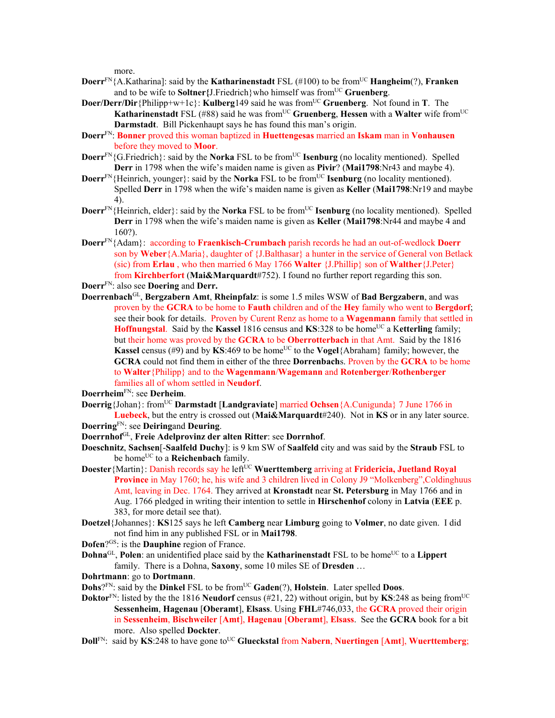more.

- **Doerr**<sup>FN</sup>{A.Katharina]: said by the **Katharinenstadt** FSL (#100) to be from<sup>UC</sup> **Hangheim**(?), **Franken** and to be wife to **Soltner**{J.Friedrich} who himself was from<sup>UC</sup> Gruenberg.
- **Doer/Derr/Dir**{Philipp+w+1c}: **Kulberg**149 said he was from<sup>UC</sup> **Gruenberg**. Not found in **T**. The **Katharinenstadt** FSL (#88) said he was from<sup>UC</sup> Gruenberg, Hessen with a Walter wife from<sup>UC</sup> **Darmstadt**. Bill Pickenhaupt says he has found this man's origin.
- **Doerr**FN: **Bonner** proved this woman baptized in **Huettengesas** married an **Iskam** man in **Vonhausen** before they moved to **Moor**.
- **Doerr**<sup>FN</sup>{G.Friedrich}: said by the **Norka** FSL to be from<sup>UC</sup> **Isenburg** (no locality mentioned). Spelled **Derr** in 1798 when the wife's maiden name is given as **Pivir**? (**Mai1798**:Nr43 and maybe 4).
- **Doerr**<sup>FN</sup>{Heinrich, younger}: said by the **Norka** FSL to be from<sup>UC</sup> **Isenburg** (no locality mentioned). Spelled **Derr** in 1798 when the wife's maiden name is given as **Keller** (**Mai1798**:Nr19 and maybe 4).
- **Doerr**<sup>FN</sup>{Heinrich, elder}: said by the **Norka** FSL to be from<sup>UC</sup> **Isenburg** (no locality mentioned). Spelled **Derr** in 1798 when the wife's maiden name is given as **Keller** (**Mai1798**:Nr44 and maybe 4 and 160?).
- **Doerr**FN{Adam}: according to **Fraenkisch-Crumbach** parish records he had an out-of-wedlock **Doerr** son by **Weber**{A.Maria}, daughter of {J.Balthasar} a hunter in the service of General von Betlack (sic) from **Erlau** , who then married 6 May 1766 **Walter** {J.Phillip} son of **Walther**{J.Peter} from **Kirchberfort** (**Mai&Marquardt**#752). I found no further report regarding this son.

**Doerr**FN: also see **Doering** and **Derr.** 

**Doerrenbach**GL, **Bergzabern Amt**, **Rheinpfalz**: is some 1.5 miles WSW of **Bad Bergzabern**, and was proven by the **GCRA** to be home to **Fauth** children and of the **Hey** family who went to **Bergdorf**; see their book for details. Proven by Curent Renz as home to a **Wagenmann** family that settled in **Hoffnungstal**. Said by the **Kassel** 1816 census and **KS**:328 to be home<sup>UC</sup> a Ketterling family; but their home was proved by the **GCRA** to be **Oberrotterbach** in that Amt. Said by the 1816 **Kassel** census (#9) and by **KS**:469 to be home<sup>UC</sup> to the **Vogel**{Abraham} family; however, the **GCRA** could not find them in either of the three **Dorrenbach**s. Proven by the **GCRA** to be home to **Walter**{Philipp} and to the **Wagenmann**/**Wagemann** and **Rotenberger**/**Rothenberger** families all of whom settled in **Neudorf**.

**Doerrheim**FN: see **Derheim**.

**Doerrig**{Johan}: fromUC **Darmstadt** [**Landgraviate**] married **Ochsen**{A.Cunigunda} 7 June 1766 in **Luebeck**, but the entry is crossed out (**Mai&Marquardt**#240). Not in **KS** or in any later source.

**Doerring**FN: see **Deiring**and **Deuring**.

- **Doerrnhof**GL, **Freie Adelprovinz der alten Ritter**: see **Dorrnhof**.
- **Doeschnitz**, **Sachsen**[-**Saalfeld Duchy**]: is 9 km SW of **Saalfeld** city and was said by the **Straub** FSL to be home<sup>UC</sup> to a **Reichenbach** family.
- **Doester** {Martin}: Danish records say he left<sup>UC</sup> **Wuerttemberg** arriving at **Fridericia, Juetland Royal Province** in May 1760; he, his wife and 3 children lived in Colony J9 "Molkenberg", Coldinghuus Amt, leaving in Dec. 1764. They arrived at **Kronstadt** near **St. Petersburg** in May 1766 and in Aug. 1766 pledged in writing their intention to settle in **Hirschenhof** colony in **Latvia** (**EEE** p. 383, for more detail see that).
- **Doetzel**{Johannes}: **KS**125 says he left **Camberg** near **Limburg** going to **Volmer**, no date given. I did not find him in any published FSL or in **Mai1798**.
- **Dofen**?GS: is the **Dauphine** region of France.
- **Dohna**<sup>GL</sup>, **Polen**: an unidentified place said by the **Katharinenstadt** FSL to be home<sup>UC</sup> to a **Lippert** family. There is a Dohna, **Saxony**, some 10 miles SE of **Dresden** …
- **Dohrtmann**: go to **Dortmann**.
- **Dohs**?FN: said by the **Dinkel** FSL to be from<sup>UC</sup> Gaden(?), **Holstein**. Later spelled **Doos**.
- **Doktor**<sup>FN</sup>: listed by the the 1816 **Neudorf** census (#21, 22) without origin, but by **KS**:248 as being from<sup>UC</sup> **Sessenheim**, **Hagenau** [**Oberamt**], **Elsass**. Using **FHL**#746,033, the **GCRA** proved their origin in **Sessenheim**, **Bischweiler** [**Amt**], **Hagenau** [**Oberamt**], **Elsass**. See the **GCRA** book for a bit more. Also spelled **Dockter**.
- **Doll**FN: said by **KS**:248 to have gone to<sup>UC</sup> Glueckstal from **Nabern**, **Nuertingen** [Amt], **Wuerttemberg**;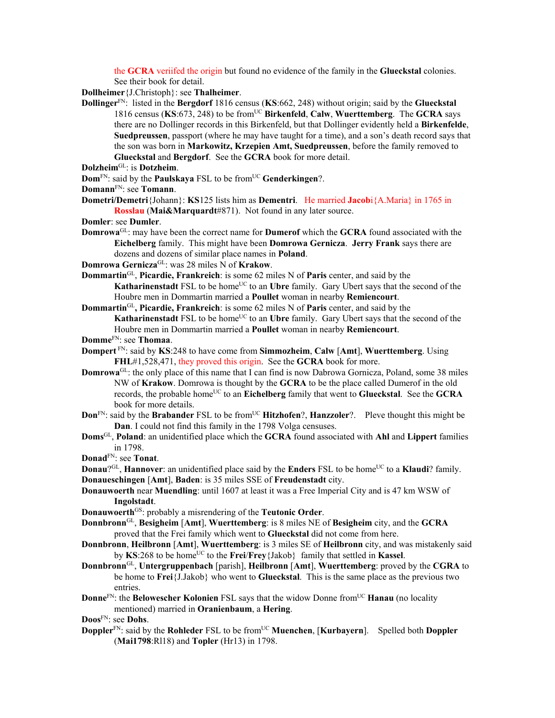the **GCRA** veriifed the origin but found no evidence of the family in the **Glueckstal** colonies. See their book for detail.

**Dollheimer**{J.Christoph}: see **Thalheimer**.

- **Dollinger**FN: listed in the **Bergdorf** 1816 census (**KS**:662, 248) without origin; said by the **Glueckstal** 1816 census (**KS**:673, 248) to be fromUC **Birkenfeld**, **Calw**, **Wuerttemberg**. The **GCRA** says there are no Dollinger records in this Birkenfeld, but that Dollinger evidently held a **Birkenfelde**, **Suedpreussen**, passport (where he may have taught for a time), and a son's death record says that the son was born in **Markowitz, Krzepien Amt, Suedpreussen**, before the family removed to **Glueckstal** and **Bergdorf**. See the **GCRA** book for more detail.
- **Dolzheim**GL: is **Dotzheim**.
- **Dom**<sup>FN</sup>: said by the **Paulskaya** FSL to be from<sup>UC</sup> **Genderkingen**?.
- **Domann**FN: see **Tomann**.
- **Dometri/Demetri**{Johann}: **KS**125 lists him as **Dementri**. He married **Jacob**i{A.Maria} in 1765 in **Rosslau** (**Mai&Marquardt**#871). Not found in any later source.
- **Domler**: see **Dumler**.
- **Domrowa**GL: may have been the correct name for **Dumerof** which the **GCRA** found associated with the **Eichelberg** family. This might have been **Domrowa Gernicza**. **Jerry Frank** says there are dozens and dozens of similar place names in **Poland**.
- **Domrowa Gernicza**GL: was 28 miles N of **Krakow**.
- **Dommartin**GL, **Picardie, Frankreich**: is some 62 miles N of **Paris** center, and said by the **Katharinenstadt** FSL to be home<sup>UC</sup> to an **Ubre** family. Gary Ubert says that the second of the Houbre men in Dommartin married a **Poullet** woman in nearby **Remiencourt**.
- **Dommartin**GL**, Picardie, Frankreich**: is some 62 miles N of **Paris** center, and said by the Katharinenstadt FSL to be home<sup>UC</sup> to an Ubre family. Gary Ubert says that the second of the Houbre men in Dommartin married a **Poullet** woman in nearby **Remiencourt**.
- **Domme**FN: see **Thomaa**.
- **Dompert** FN: said by **KS**:248 to have come from **Simmozheim**, **Calw** [**Amt**], **Wuerttemberg**. Using **FHL**#1,528,471, they proved this origin. See the **GCRA** book for more.
- **Domrowa**GL: the only place of this name that I can find is now Dabrowa Gornicza, Poland, some 38 miles NW of **Krakow**. Domrowa is thought by the **GCRA** to be the place called Dumerof in the old records, the probable home<sup>UC</sup> to an **Eichelberg** family that went to **Glueckstal**. See the **GCRA** book for more details.
- **Don**<sup>FN</sup>: said by the **Brabander** FSL to be from<sup>UC</sup> **Hitzhofen**?, **Hanzzoler**?. Pleve thought this might be **Dan**. I could not find this family in the 1798 Volga censuses.
- **Doms**GL, **Poland**: an unidentified place which the **GCRA** found associated with **Ahl** and **Lippert** families in 1798.

**Donad**FN: see **Tonat**.

- **Donau<sup>?GL</sup>, Hannover**: an unidentified place said by the **Enders** FSL to be home<sup>UC</sup> to a **Klaudi**? family. **Donaueschingen** [**Amt**], **Baden**: is 35 miles SSE of **Freudenstadt** city.
- **Donauwoerth** near **Muendling**: until 1607 at least it was a Free Imperial City and is 47 km WSW of **Ingolstadt**.
- **Donauwoerth<sup>GS</sup>:** probably a misrendering of the **Teutonic Order**.
- **Donnbronn**GL, **Besigheim** [**Amt**], **Wuerttemberg**: is 8 miles NE of **Besigheim** city, and the **GCRA** proved that the Frei family which went to **Glueckstal** did not come from here.
- **Donnbronn**, **Heilbronn** [**Amt**], **Wuerttemberg**: is 3 miles SE of **Heilbronn** city, and was mistakenly said by **KS**:268 to be home<sup>UC</sup> to the **Frei**/**Frey**{Jakob} family that settled in **Kassel**.
- **Donnbronn**GL, **Untergruppenbach** [parish], **Heilbronn** [**Amt**], **Wuerttemberg**: proved by the **CGRA** to be home to **Frei**{J.Jakob} who went to **Glueckstal**. This is the same place as the previous two entries.
- **Donne**FN: the **Belowescher Kolonien** FSL says that the widow Donne from<sup>UC</sup> **Hanau** (no locality mentioned) married in **Oranienbaum**, a **Hering**.
- **Doos**FN: see **Dohs**.
- **Doppler**<sup>FN</sup>: said by the **Rohleder** FSL to be from<sup>UC</sup> **Muenchen**, [**Kurbayern**]. Spelled both **Doppler** (**Mai1798**:Rl18) and **Topler** (Hr13) in 1798.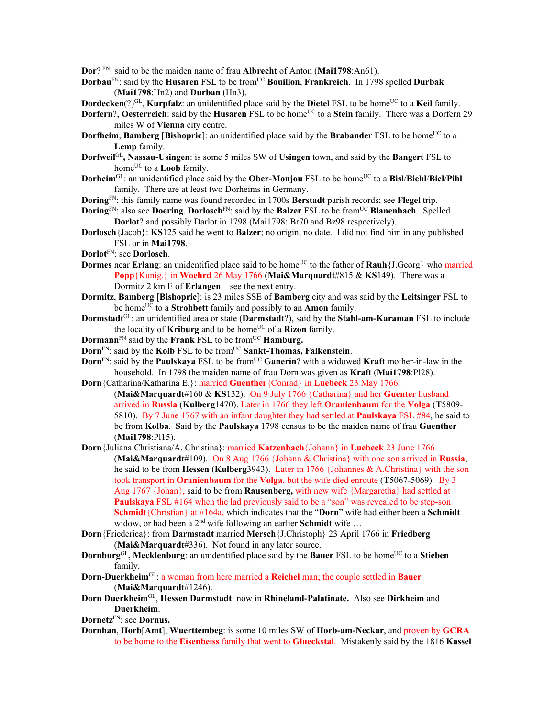**Dor**? FN: said to be the maiden name of frau **Albrecht** of Anton (**Mai1798**:An61).

- **Dorbau**FN: said by the **Husaren** FSL to be fromUC **Bouillon**, **Frankreich**.In 1798 spelled **Durbak**  (**Mai1798**:Hn2) and **Durban** (Hn3).
- **Dordecken**(?)<sup>GL</sup>, **Kurpfalz**: an unidentified place said by the **Dietel** FSL to be home<sup>UC</sup> to a **Keil** family.
- **Dorfern**?, **Oesterreich**: said by the **Husaren** FSL to be home<sup>UC</sup> to a **Stein** family. There was a Dorfern 29 miles W of **Vienna** city centre.
- **Dorfheim**, **Bamberg** [Bishopric]: an unidentified place said by the Brabander FSL to be home<sup>UC</sup> to a **Lemp** family.
- **Dorfweil**GL**, Nassau-Usingen**: is some 5 miles SW of **Usingen** town, and said by the **Bangert** FSL to home<sup>UC</sup> to a **Loob** family.
- **Dorheim**<sup>GL</sup>: an unidentified place said by the **Ober-Monjou** FSL to be home<sup>UC</sup> to a **Bisl/Biehl/Biel/Pihl** family. There are at least two Dorheims in Germany.
- **Doring**FN: this family name was found recorded in 1700s **Berstadt** parish records; see **Flegel** trip.
- **Doring**FN: also see **Doering**. **Dorlosch**FN: said by the **Balzer** FSL to be fromUC **Blanenbach**. Spelled **Dorlot**? and possibly Darlot in 1798 (Mai1798: Br70 and Bz98 respectively).
- **Dorlosch**{Jacob}: **KS**125 said he went to **Balzer**; no origin, no date. I did not find him in any published FSL or in **Mai1798**.
- **Dorlot**FN: see **Dorlosch**.
- **Dormes near Erlang**: an unidentified place said to be home<sup>UC</sup> to the father of **Rauh**{J.Georg} who married **Popp**{Kunig.} in **Woehrd** 26 May 1766 (**Mai&Marquardt**#815 & **KS**149). There was a Dormitz 2 km E of **Erlangen** – see the next entry.
- **Dormitz**, **Bamberg** [**Bishopric**]: is 23 miles SSE of **Bamberg** city and was said by the **Leitsinger** FSL to be home<sup>UC</sup> to a **Strohbett** family and possibly to an **Amon** family.
- **Dormstadt**GL: an unidentified area or state (**Darmstadt**?), said by the **Stahl-am-Karaman** FSL to include the locality of **Kriburg** and to be home<sup>UC</sup> of a **Rizon** family.
- **Dormann**<sup>FN</sup> said by the **Frank** FSL to be from<sup>UC</sup> **Hamburg.**
- **Dorn**<sup>FN</sup>: said by the **Kolb** FSL to be from<sup>UC</sup> **Sankt-Thomas, Falkenstein**.
- **Dorn**<sup>FN</sup>: said by the **Paulskaya** FSL to be from<sup>UC</sup> Ganerin? with a widowed **Kraft** mother-in-law in the household. In 1798 the maiden name of frau Dorn was given as **Kraft** (**Mai1798**:Pl28).
- **Dorn**{Catharina/Katharina E.}: married **Guenther**{Conrad} in **Luebeck** 23 May 1766 (**Mai&Marquardt**#160 & **KS**132). On 9 July 1766 {Catharina} and her **Guenter** husband arrived in **Russia** (**Kulberg**1470). Later in 1766 they left **Oranienbaum** for the **Volga** (**T**5809- 5810). By 7 June 1767 with an infant daughter they had settled at **Paulskaya** FSL #84, he said to be from **Kolba**. **S**aid by the **Paulskaya** 1798 census to be the maiden name of frau **Guenther** (**Mai1798**:Pl15).
- **Dorn**{Juliana Christiana/A. Christina}: married **Katzenbach**{Johann} in **Luebeck** 23 June 1766 (**Mai&Marquardt**#109). On 8 Aug 1766 {Johann & Christina} with one son arrived in **Russia**, he said to be from **Hessen** (**Kulberg**3943). Later in 1766 {Johannes & A.Christina} with the son took transport in **Oranienbaum** for the **Volga**, but the wife died enroute (**T**5067-5069). By 3 Aug 1767 {Johan}, said to be from **Rausenberg,** with new wife {Margaretha} had settled at **Paulskaya** FSL #164 when the lad previously said to be a "son" was revealed to be step-son **Schmidt**{Christian} at #164a, which indicates that the "**Dorn**" wife had either been a **Schmidt**  widow, or had been a 2<sup>nd</sup> wife following an earlier **Schmidt** wife ...
- **Dorn**{Friederica}: from **Darmstadt** married **Mersch**{J.Christoph} 23 April 1766 in **Friedberg** (**Mai&Marquardt**#336). Not found in any later source.
- **Dornburg**<sup>GL</sup>, Mecklenburg: an unidentified place said by the **Bauer** FSL to be home<sup>UC</sup> to a Stieben family.
- **Dorn-Duerkheim**GL: a woman from here married a **Reichel** man; the couple settled in **Bauer** (**Mai&Marquardt**#1246).
- **Dorn Duerkheim**GL, **Hessen Darmstadt**: now in **Rhineland-Palatinate.** Also see **Dirkheim** and **Duerkheim**.
- **Dornetz**FN: see **Dornus.**
- **Dornhan**, **Horb**[**Amt**], **Wuerttembeg**: is some 10 miles SW of **Horb-am-Neckar**, and proven by **GCRA** to be home to the **Eisenbeiss** family that went to **Glueckstal**. Mistakenly said by the 1816 **Kassel**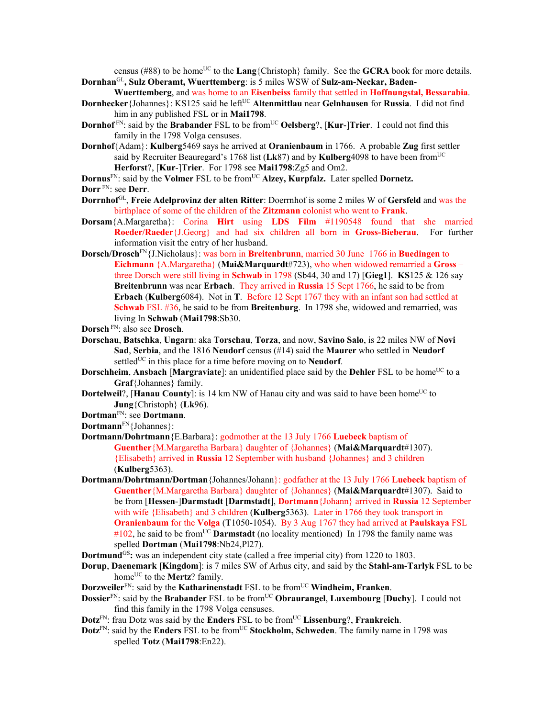census (#88) to be home<sup>UC</sup> to the **Lang**{Christoph} family. See the **GCRA** book for more details. **Dornhan**GL**, Sulz Oberamt, Wuerttemberg**: is 5 miles WSW of **Sulz-am-Neckar, Baden-**

- **Wuerttemberg**, and was home to an **Eisenbeiss** family that settled in **Hoffnungstal, Bessarabia**.
- **Dornhecker**{Johannes}: KS125 said he left<sup>UC</sup> **Altenmittlau** near **Gelnhausen** for **Russia**. I did not find him in any published FSL or in **Mai1798**.
- **Dornhof**<sup>FN</sup>: said by the **Brabander** FSL to be from<sup>UC</sup> Oelsberg?, [Kur-]Trier. I could not find this family in the 1798 Volga censuses.
- **Dornhof**{Adam}: **Kulberg**5469 says he arrived at **Oranienbaum** in 1766. A probable **Zug** first settler said by Recruiter Beauregard's 1768 list (**Lk**87) and by **Kulberg**4098 to have been fromUC **Herforst**?, [**Kur**-]**Trier**. For 1798 see **Mai1798**:Zg5 and Om2.

**Dornus**<sup>FN</sup>: said by the **Volmer** FSL to be from<sup>UC</sup> Alzey, **Kurpfalz.** Later spelled **Dornetz.** 

- **Dorrnhof**GL, **Freie Adelprovinz der alten Ritter**: Doerrnhof is some 2 miles W of **Gersfeld** and was the birthplace of some of the children of the **Zitzmann** colonist who went to **Frank**.
- **Dorsam**{A.Margaretha}: Corina **Hirt** using **LDS Film** #1190548 found that she married **Roeder/Raeder**{J.Georg} and had six children all born in **Gross-Bieberau**. For further information visit the entry of her husband.
- **Dorsch/Drosch**FN{J.Nicholaus}: was born in **Breitenbrunn**, married 30 June 1766 in **Buedingen** to **Eichmann** {A.Margaretha} (**Mai&Marquardt**#723), who when widowed remarried a **Gross** – three Dorsch were still living in **Schwab** in 1798 (Sb44, 30 and 17) [**Gieg1**]. **KS**125 & 126 say **Breitenbrunn** was near **Erbach**. They arrived in **Russia** 15 Sept 1766, he said to be from **Erbach** (**Kulberg**6084). Not in **T**. Before 12 Sept 1767 they with an infant son had settled at **Schwab** FSL #36, he said to be from **Breitenburg**. In 1798 she, widowed and remarried, was living In **Schwab** (**Mai1798**:Sb30.
- **Dorsch** FN: also see **Drosch**.
- **Dorschau**, **Batschka**, **Ungarn**: aka **Torschau**, **Torza**, and now, **Savino Salo**, is 22 miles NW of **Novi Sad**, **Serbia**, and the 1816 **Neudorf** census (#14) said the **Maurer** who settled in **Neudorf** settled<sup>UC</sup> in this place for a time before moving on to **Neudorf**.
- **Dorschheim, Ansbach** [Margraviate]: an unidentified place said by the Dehler FSL to be home<sup>UC</sup> to a **Graf**{Johannes} family.
- **Dortelweil**?, [**Hanau County**]: is 14 km NW of Hanau city and was said to have been home<sup>UC</sup> to **Jung**{Christoph} (**Lk**96).
- **Dortman**FN: see **Dortmann**.
- **Dortmann**FN{Johannes}:
- **Dortmann/Dohrtmann**{E.Barbara}: godmother at the 13 July 1766 **Luebeck** baptism of **Guenther**{M.Margaretha Barbara} daughter of {Johannes} (**Mai&Marquardt**#1307). {Elisabeth} arrived in **Russia** 12 September with husband {Johannes} and 3 children (**Kulberg**5363).
- **Dortmann/Dohrtmann/Dortman**{Johannes/Johann}: godfather at the 13 July 1766 **Luebeck** baptism of **Guenther**{M.Margaretha Barbara} daughter of {Johannes} (**Mai&Marquardt**#1307). Said to be from [**Hessen**-]**Darmstadt** [**Darmstadt**], **Dortmann**{Johann} arrived in **Russia** 12 September with wife {Elisabeth} and 3 children (**Kulberg**5363). Later in 1766 they took transport in **Oranienbaum** for the **Volga** (**T**1050-1054). By 3 Aug 1767 they had arrived at **Paulskaya** FSL  $\#102$ , he said to be from<sup>UC</sup> **Darmstadt** (no locality mentioned) In 1798 the family name was spelled **Dortman** (**Mai1798**:Nb24,Pl27).
- **Dortmund**<sup>GS</sup>: was an independent city state (called a free imperial city) from 1220 to 1803.
- **Dorup**, **Daenemark [Kingdom**]: is 7 miles SW of Arhus city, and said by the **Stahl-am-Tarlyk** FSL to be home<sup>UC</sup> to the **Mertz**? family.
- **Dorzweiler**<sup>FN</sup>: said by the **Katharinenstadt** FSL to be from<sup>UC</sup> **Windheim, Franken**.
- **Dossier**<sup>FN</sup>: said by the **Brabander** FSL to be from<sup>UC</sup> **Obraurangel**, **Luxembourg** [Duchy]. I could not find this family in the 1798 Volga censuses.
- **Dotz**<sup>FN</sup>: frau Dotz was said by the **Enders** FSL to be from<sup>UC</sup> **Lissenburg**?, **Frankreich**.
- **Dotz**<sup>FN</sup>: said by the **Enders** FSL to be from<sup>UC</sup> **Stockholm, Schweden**. The family name in 1798 was spelled **Totz** (**Mai1798**:En22).

**Dorr** FN: see **Derr**.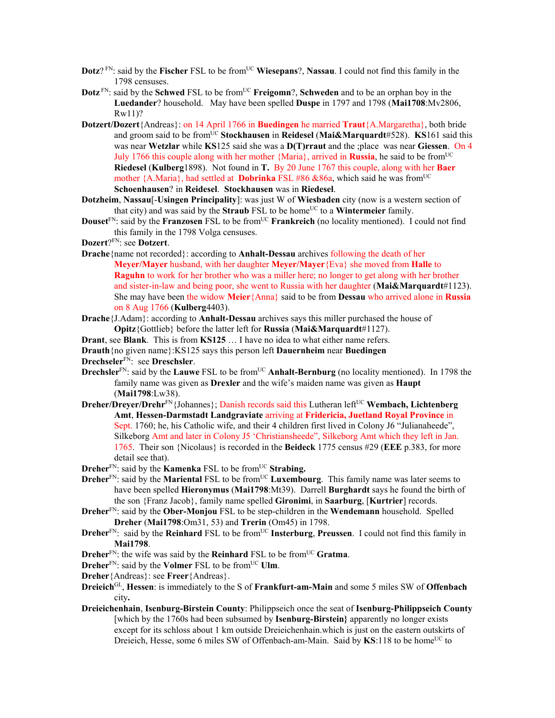- **Dotz**?<sup>FN</sup>: said by the **Fischer** FSL to be from<sup>UC</sup> **Wiesepans**?, **Nassau**. I could not find this family in the 1798 censuses.
- **Dotz** FN: said by the **Schwed** FSL to be from<sup>UC</sup> **Freigomn**?, **Schweden** and to be an orphan boy in the **Luedander**? household. May have been spelled **Duspe** in 1797 and 1798 (**Mai1708**:Mv2806, Rw11)?
- **Dotzert/Dozert**{Andreas}: on 14 April 1766 in **Buedingen** he married **Traut**{A.Margaretha}, both bride and groom said to be from<sup>UC</sup> Stockhausen in Reidesel (Mai&Marquardt#528). KS161 said this was near **Wetzlar** while **KS**125 said she was a **D(T)rraut** and the ;place was near **Giessen**. On 4 July 1766 this couple along with her mother  ${Maria}$ , arrived in **Russia**, he said to be from<sup>UC</sup> **Riedesel** (**Kulberg**1898). Not found in **T.** By 20 June 1767 this couple, along with her **Baer**  mother  ${A.Maria}$ , had settled at **Dobrinka** FSL #86 &86a, which said he was from<sup>UC</sup> **Schoenhausen**? in **Reidesel**. **Stockhausen** was in **Riedesel**.
- **Dotzheim**, **Nassau**[-**Usingen Principality**]: was just W of **Wiesbaden** city (now is a western section of that city) and was said by the **Straub** FSL to be home<sup>UC</sup> to a **Wintermeier** family.
- **Douset**FN: said by the **Franzosen** FSL to be fromUC **Frankreich** (no locality mentioned). I could not find this family in the 1798 Volga censuses.
- **Dozert**?FN: see **Dotzert**.
- **Drache**{name not recorded}: according to **Anhalt-Dessau** archives following the death of her **Meyer/Mayer** husband, with her daughter **Meyer/Mayer**{Eva} she moved from **Halle** to **Raguhn** to work for her brother who was a miller here; no longer to get along with her brother and sister-in-law and being poor, she went to Russia with her daughter (**Mai&Marquardt**#1123). She may have been the widow **Meier**{Anna} said to be from **Dessau** who arrived alone in **Russia** on 8 Aug 1766 (**Kulberg**4403).
- **Drache**{J.Adam}: according to **Anhalt-Dessau** archives says this miller purchased the house of **Opitz**{Gottlieb} before the latter left for **Russia** (**Mai&Marquardt**#1127).
- **Drant**, see **Blank**. This is from **KS125** … I have no idea to what either name refers.
- **Drauth**{no given name}:KS125 says this person left **Dauernheim** near **Buedingen**

**Drechseler**FN: see **Dreschsler**.

- **Drechsler**<sup>FN</sup>: said by the **Lauwe** FSL to be from<sup>UC</sup> **Anhalt-Bernburg** (no locality mentioned). In 1798 the family name was given as **Drexler** and the wife's maiden name was given as **Haupt** (**Mai1798**:Lw38).
- **Dreher/Dreyer/Drehr**<sup>FN</sup>{Johannes}; Danish records said this Lutheran left<sup>UC</sup> **Wembach, Lichtenberg Amt**, **Hessen-Darmstadt Landgraviate** arriving at **Fridericia, Juetland Royal Province** in Sept. 1760; he, his Catholic wife, and their 4 children first lived in Colony J6 "Julianaheede", Silkeborg Amt and later in Colony J5 'Christiansheede", Silkeborg Amt which they left in Jan. 1765. Their son {Nicolaus} is recorded in the **Beideck** 1775 census #29 (**EEE** p.383, for more detail see that).
- **Dreher**<sup>FN</sup>: said by the **Kamenka** FSL to be from<sup>UC</sup> **Strabing.**
- **Dreher**<sup>FN</sup>: said by the **Mariental** FSL to be from<sup>UC</sup> **Luxembourg**. This family name was later seems to have been spelled **Hieronymus** (**Mai1798**:Mt39). Darrell **Burghardt** says he found the birth of the son {Franz Jacob}, family name spelled **Gironimi**, in **Saarburg**, [**Kurtrier**] records.
- **Dreher**FN: said by the **Ober-Monjou** FSL to be step-children in the **Wendemann** household. Spelled **Dreher** (**Mai1798**:Om31, 53) and **Trerin** (Om45) in 1798.
- **Dreher**<sup>FN</sup>: said by the **Reinhard** FSL to be from<sup>UC</sup> **Insterburg**, **Preussen**. I could not find this family in **Mai1798**.
- **Dreher**<sup>FN</sup>: the wife was said by the **Reinhard** FSL to be from<sup>UC</sup> Gratma.
- **Dreher**<sup>FN</sup>: said by the **Volmer** FSL to be from<sup>UC</sup> **Ulm**.
- **Dreher**{Andreas}: see **Freer**{Andreas}.
- **Dreieich**GL, **Hessen**: is immediately to the S of **Frankfurt-am-Main** and some 5 miles SW of **Offenbach** city**.**
- **Dreieichenhain**, **Isenburg-Birstein County**: Philippseich once the seat of **Isenburg-Philippseich County**  [which by the 1760s had been subsumed by **Isenburg-Birstein}** apparently no longer exists except for its schloss about 1 km outside Dreieichenhain.which is just on the eastern outskirts of Dreieich, Hesse, some 6 miles SW of Offenbach-am-Main. Said by KS:118 to be home<sup>UC</sup> to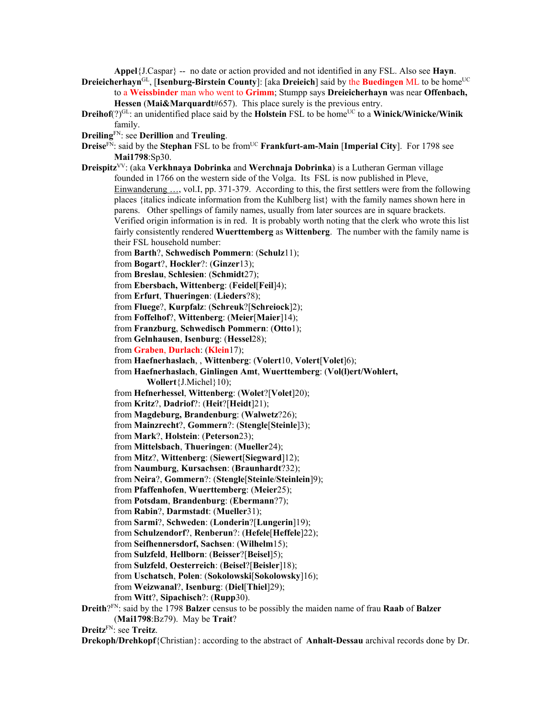**Appel**{J.Caspar} -- no date or action provided and not identified in any FSL. Also see **Hayn**.

**Dreieicherhayn**<sup>GL</sup>, [Isenburg-Birstein County]: [aka Dreieich] said by the Buedingen ML to be home<sup>UC</sup> to a **Weissbinder** man who went to **Grimm**; Stumpp says **Dreieicherhayn** was near **Offenbach, Hessen (Mai&Marquardt#657).** This place surely is the previous entry.

- **Dreihof**(?)<sup>GL</sup>: an unidentified place said by the **Holstein** FSL to be home<sup>UC</sup> to a **Winick/Winicke/Winik** family.
- **Dreiling**FN: see **Derillion** and **Treuling**.
- **Dreise**FN: said by the **Stephan** FSL to be fromUC **Frankfurt-am-Main** [**Imperial City**]. For 1798 see **Mai1798**:Sp30.
- **Dreispitz**VV: (aka **Verkhnaya Dobrinka** and **Werchnaja Dobrinka**) is a Lutheran German village founded in 1766 on the western side of the Volga. Its FSL is now published in Pleve, Einwanderung …, vol.I, pp. 371-379. According to this, the first settlers were from the following places {italics indicate information from the Kuhlberg list} with the family names shown here in parens. Other spellings of family names, usually from later sources are in square brackets. Verified origin information is in red. It is probably worth noting that the clerk who wrote this list fairly consistently rendered **Wuerttemberg** as **Wittenberg**. The number with the family name is their FSL household number:
	- from **Barth**?, **Schwedisch Pommern**: (**Schulz**11);
	- from **Bogart**?, **Hockler**?: (**Ginzer**13);
	- from **Breslau**, **Schlesien**: (**Schmidt**27);
	- from **Ebersbach, Wittenberg**: (**Feidel**[**Feil**]4);
	- from **Erfurt**, **Thueringen**: (**Lieders**?8);
	- from **Fluege**?, **Kurpfalz**: (**Schreuk**?[**Schreiock**]2);
	- from **Foffelhof**?, **Wittenberg**: (**Meier**[**Maier**]14);
	- from **Franzburg**, **Schwedisch Pommern**: (**Otto**1);
	- from **Gelnhausen**, **Isenburg**: (**Hessel**28);
	- from **Graben**, **Durlach**: (**Klein**17);
	- from **Haefnerhaslach**, , **Wittenberg**: (**Volert**10, **Volert**[**Volet**]6);
	- from **Haefnerhaslach**, **Ginlingen Amt**, **Wuerttemberg**: (**Vol(l)ert/Wohlert, Wollert**{J.Michel}10);
	- from **Hefnerhessel**, **Wittenberg**: (**Wolet**?[**Volet**]20);
	- from **Kritz**?, **Dadriof**?: (**Heit**?[**Heidt**]21);
	- from **Magdeburg, Brandenburg**: (**Walwetz**?26);
	- from **Mainzrecht**?, **Gommern**?: (**Stengle**[**Steinle**]3);
	- from **Mark**?, **Holstein**: (**Peterson**23);
	- from **Mittelsbach**, **Thueringen**: (**Mueller**24);
	- from **Mitz**?, **Wittenberg**: (**Siewert**[**Siegward**]12);
	- from **Naumburg**, **Kursachsen**: (**Braunhardt**?32);
	- from **Neira**?, **Gommern**?: (**Stengle**[**Steinle**/**Steinlein**]9);
	- from **Pfaffenhofen**, **Wuerttemberg**: (**Meier**25);
	- from **Potsdam**, **Brandenburg**: (**Ebermann**?7);
	- from **Rabin**?, **Darmstadt**: (**Mueller**31);
	- from **Sarmi**?, **Schweden**: (**Londerin**?[**Lungerin**]19);
	- from **Schulzendorf**?, **Renberun**?: (**Hefele**[**Heffele**]22);
	- from **Seifhennersdorf, Sachsen**: (**Wilhelm**15);
	- from **Sulzfeld**, **Hellborn**: (**Beisser**?[**Beisel**]5);
	- from **Sulzfeld**, **Oesterreich**: (**Beisel**?[**Beisler**]18);
	- from **Uschatsch**, **Polen**: (**Sokolowski**[**Sokolowsky**]16);
	- from **Weizwanal**?, **Isenburg**: (**Diel**[**Thiel**]29);
	- from **Witt**?, **Sipachisch**?: (**Rupp**30).
- **Dreith**?FN: said by the 1798 **Balzer** census to be possibly the maiden name of frau **Raab** of **Balzer** (**Mai1798**:Bz79). May be **Trait**?
- **Dreitz**FN: see **Treitz**.
- **Drekoph/Drehkopf**{Christian}: according to the abstract of **Anhalt-Dessau** archival records done by Dr.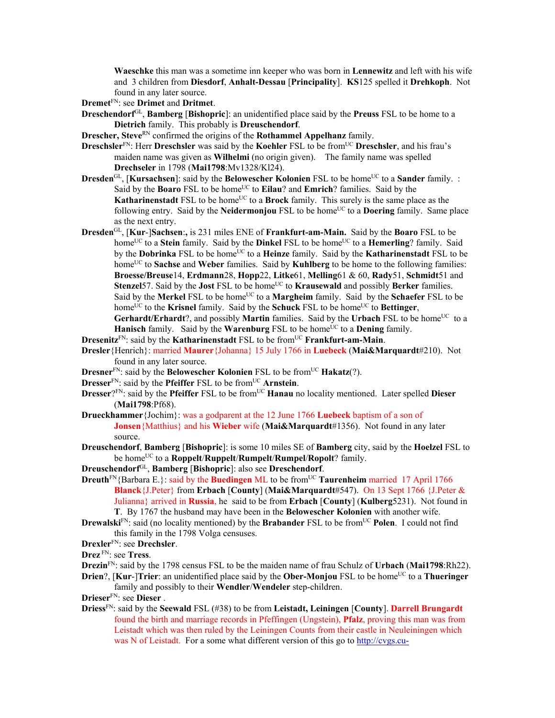**Waeschke** this man was a sometime inn keeper who was born in **Lennewitz** and left with his wife and 3 children from **Diesdorf**, **Anhalt-Dessau** [**Principality**]. **KS**125 spelled it **Drehkoph**. Not found in any later source.

**Dremet**FN: see **Drimet** and **Dritmet**.

- **Dreschendorf**GL, **Bamberg** [**Bishopric**]: an unidentified place said by the **Preuss** FSL to be home to a **Dietrich** family. This probably is **Dreuschendorf**.
- **Drescher, Steve<sup>RN</sup> confirmed the origins of the Rothammel Appelhanz family.**
- **Dreschsler**<sup>FN</sup>: Herr **Dreschsler** was said by the **Koehler** FSL to be from<sup>UC</sup> **Dreschsler**, and his frau's maiden name was given as **Wilhelmi** (no origin given). The family name was spelled **Drechseler** in 1798 (**Mai1798**:Mv1328/Kl24).
- **Dresden**<sup>GL</sup>, [**Kursachsen**]: said by the **Belowescher Kolonien** FSL to be home<sup>UC</sup> to a **Sander** family. : Said by the **Boaro** FSL to be home<sup>UC</sup> to **Eilau**? and **Emrich**? families. Said by the **Katharinenstadt** FSL to be home<sup>UC</sup> to a **Brock** family. This surely is the same place as the following entry. Said by the **Neidermonjou** FSL to be home<sup>UC</sup> to a **Doering** family. Same place as the next entry.
- **Dresden**GL, [**Kur**-]**Sachsen**:**,** is 231 miles ENE of **Frankfurt-am-Main.** Said by the **Boaro** FSL to be home<sup>UC</sup> to a **Stein** family. Said by the **Dinkel** FSL to be home<sup>UC</sup> to a **Hemerling**? family. Said by the **Dobrinka** FSL to be home<sup>UC</sup> to a **Heinze** family. Said by the **Katharinenstadt** FSL to be home<sup>UC</sup> to **Sachse** and **Weber** families. Said by **Kuhlberg** to be home to the following families: **Broesse/Breuse**14, **Erdmann**28, **Hopp**22, **Litke**61, **Melling**61 & 60, **Rady**51, **Schmidt**51 and Stenzel57. Said by the **Jost** FSL to be home<sup>UC</sup> to **Krausewald** and possibly **Berker** families. Said by the Merkel FSL to be home<sup>UC</sup> to a Margheim family. Said by the **Schaefer** FSL to be home<sup>UC</sup> to the **Krisnel** family. Said by the **Schuck** FSL to be home<sup>UC</sup> to **Bettinger**, **Gerhardt/Erhardt**?, and possibly **Martin** families. Said by the **Urbach** FSL to be home<sup>UC</sup> to a **Hanisch** family. Said by the **Warenburg** FSL to be home<sup>UC</sup> to a **Dening** family.
- **Dresenitz**<sup>FN</sup>: said by the **Katharinenstadt** FSL to be from<sup>UC</sup> **Frankfurt-am-Main**.
- **Dresler**{Henrich}: married **Maurer**{Johanna} 15 July 1766 in **Luebeck** (**Mai&Marquardt**#210). Not found in any later source.
- **Dresner**<sup>FN</sup>: said by the **Belowescher Kolonien** FSL to be from<sup>UC</sup> **Hakatz**(?).
- **Dresser**<sup>FN</sup>: said by the **Pfeiffer** FSL to be from<sup>UC</sup> **Arnstein**.
- **Dresser**?FN: said by the **Pfeiffer** FSL to be from<sup>UC</sup> **Hanau** no locality mentioned. Later spelled **Dieser** (**Mai1798**:Pf68).
- **Drueckhammer**{Jochim}: was a godparent at the 12 June 1766 **Luebeck** baptism of a son of **Jonsen**{Matthius} and his **Wieber** wife (**Mai&Marquardt**#1356). Not found in any later source.
- **Dreuschendorf**, **Bamberg** [**Bishopric**]: is some 10 miles SE of **Bamberg** city, said by the **Hoelzel** FSL to be homeUC to a **Roppelt**/**Ruppelt**/**Rumpelt**/**Rumpel**/**Ropolt**? family.
- **Dreuschendorf**GL, **Bamberg** [**Bishopric**]: also see **Dreschendorf**.
- **Dreuth**<sup>FN</sup>{Barbara E.}: said by the **Buedingen** ML to be from<sup>UC</sup> **Taurenheim** married 17 April 1766 **Blanck**{J.Peter} from **Erbach** [**County**] (**Mai&Marquardt**#547). On 13 Sept 1766 {J.Peter & Julianna} arrived in **Russia**, he said to be from **Erbach** [**County**] (**Kulberg**5231). Not found in **T**. By 1767 the husband may have been in the **Belowescher Kolonien** with another wife.
- **Drewalski**<sup>FN</sup>: said (no locality mentioned) by the **Brabander** FSL to be from<sup>UC</sup> **Polen**. I could not find this family in the 1798 Volga censuses.
- **Drexler**FN: see **Drechsler**.
- **Drez** FN: see **Tress**.
- **Drezin**FN: said by the 1798 census FSL to be the maiden name of frau Schulz of **Urbach** (**Mai1798**:Rh22).
- **Drien**?, [Kur-]Trier: an unidentified place said by the **Ober-Monjou** FSL to be home<sup>UC</sup> to a Thueringer family and possibly to their **Wendler**/**Wendeler** step-children.
- **Drieser**FN: see **Dieser** .
- **Driess**FN: said by the **Seewald** FSL (#38) to be from **Leistadt, Leiningen** [**County**]. **Darrell Brungardt** found the birth and marriage records in Pfeffingen (Ungstein), **Pfalz**, proving this man was from Leistadt which was then ruled by the Leiningen Counts from their castle in Neuleiningen which was N of Leistadt. For a some what different version of this go to http://cvgs.cu-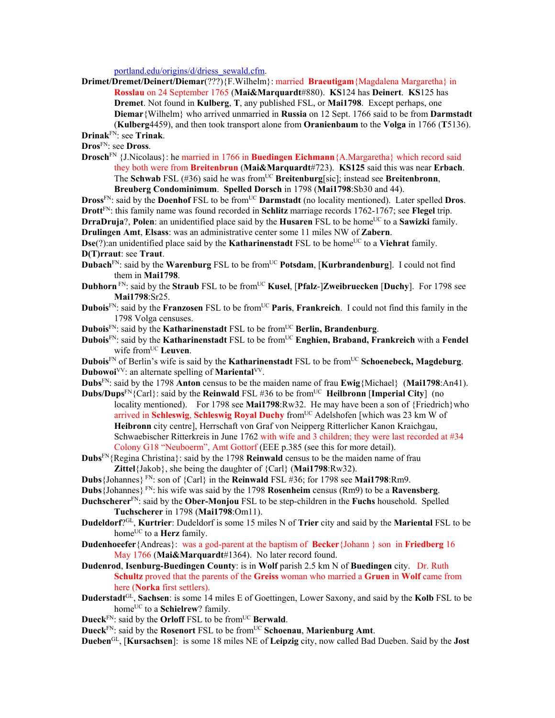portland.edu/origins/d/driess\_sewald.cfm.

**Drimet/Dremet/Deinert/Diemar**(???){F.Wilhelm}: married **Braeutigam**{Magdalena Margaretha} in **Rosslau** on 24 September 1765 (**Mai&Marquardt**#880). **KS**124 has **Deinert**. **KS**125 has **Dremet**. Not found in **Kulberg**, **T**, any published FSL, or **Mai1798**. Except perhaps, one **Diemar**{Wilhelm} who arrived unmarried in **Russia** on 12 Sept. 1766 said to be from **Darmstadt**  (**Kulberg**4459), and then took transport alone from **Oranienbaum** to the **Volga** in 1766 (**T**5136).

**Drinak**FN: see **Trinak**.

**Dros**FN: see **Dross**.

**Drosch**FN {J.Nicolaus}: he married in 1766 in **Buedingen Eichmann**{A.Margaretha} which record said they both were from **Breitenbrun** (**Mai&Marquardt**#723). **KS125** said this was near **Erbach**. The **Schwab** FSL (#36) said he was from<sup>UC</sup> **Breitenburg**[sic]; instead see **Breitenbronn**, **Breuberg Condominimum**. **Spelled Dorsch** in 1798 (**Mai1798**:Sb30 and 44).

**Dross**<sup>FN</sup>: said by the **Doenhof** FSL to be from<sup>UC</sup> **Darmstadt** (no locality mentioned). Later spelled **Dros**. **Drott**FN: this family name was found recorded in **Schlitz** marriage records 1762-1767; see **Flegel** trip. **DrraDruja**?, **Polen**: an unidentified place said by the **Husaren** FSL to be home<sup>UC</sup> to a **Sawizki** family.

**Drulingen Amt**, **Elsass**: was an administrative center some 11 miles NW of **Zabern**.

**Dse**(?):an unidentified place said by the **Katharinenstadt** FSL to be home<sup>UC</sup> to a **Viehrat** family. **D(T)rraut**: see **Traut**.

- **Dubach**<sup>FN</sup>: said by the **Warenburg** FSL to be from<sup>UC</sup> Potsdam, [Kurbrandenburg]. I could not find them in **Mai1798**.
- **Dubhorn** FN: said by the **Straub** FSL to be from<sup>UC</sup> **Kusel**, [**Pfalz-]Zweibruecken** [**Duchy**]. For 1798 see **Mai1798**:Sr25.
- **Dubois**FN: said by the **Franzosen** FSL to be fromUC **Paris**, **Frankreich**. I could not find this family in the 1798 Volga censuses.
- **Dubois**<sup>FN</sup>: said by the **Katharinenstadt** FSL to be from<sup>UC</sup> **Berlin, Brandenburg**.
- **Dubois**<sup>FN</sup>: said by the **Katharinenstadt** FSL to be from<sup>UC</sup> **Enghien, Braband, Frankreich** with a **Fendel** wife from<sup>UC</sup> Leuven.

**Dubois**<sup>FN</sup> of Berlin's wife is said by the **Katharinenstadt** FSL to be from<sup>UC</sup> **Schoenebeck, Magdeburg**. **Dubowoi**<sup>VV</sup>: an alternate spelling of **Mariental**<sup>VV</sup>.

- **Dubs**FN: said by the 1798 **Anton** census to be the maiden name of frau **Ewig**{Michael} (**Mai1798**:An41). **Dubs/Dups**<sup>FN</sup>{Carl}: said by the **Reinwald** FSL #36 to be from<sup>UC</sup> **Heilbronn** [Imperial City] (no
- locality mentioned). For 1798 see **Mai1798**:Rw32. He may have been a son of {Friedrich}who arrived in **Schleswig**, **Schleswig Royal Duchy** from<sup>UC</sup> Adelshofen [which was 23 km W of **Heibronn** city centre], Herrschaft von Graf von Neipperg Ritterlicher Kanon Kraichgau, Schwaebischer Ritterkreis in June 1762 with wife and 3 children; they were last recorded at #34 Colony G18 "Neuboerm", Amt Gottorf (EEE p.385 (see this for more detail).
- **Dubs**FN{Regina Christina}: said by the 1798 **Reinwald** census to be the maiden name of frau **Zittel**{Jakob}, she being the daughter of {Carl} (**Mai1798**:Rw32).
- **Dubs**{Johannes} FN: son of {Carl} in the **Reinwald** FSL #36; for 1798 see **Mai1798**:Rm9.
- **Dubs**{Johannes} FN: his wife was said by the 1798 **Rosenheim** census (Rm9) to be a **Ravensberg**.
- **Duchscherer**FN: said by the **Ober-Monjou** FSL to be step-children in the **Fuchs** household. Spelled **Tuchscherer** in 1798 (**Mai1798**:Om11).
- **Dudeldorf**?GL, **Kurtrier**: Dudeldorf is some 15 miles N of **Trier** city and said by the **Mariental** FSL to be home<sup>UC</sup> to a **Herz** family.
- **Dudenhoeefer**{Andreas}: was a god-parent at the baptism of **Becker**{Johann } son in **Friedberg** 16 May 1766 (**Mai&Marquardt**#1364). No later record found.
- **Dudenrod**, **Isenburg-Buedingen County**: is in **Wolf** parish 2.5 km N of **Buedingen** city. Dr. Ruth **Schultz** proved that the parents of the **Greiss** woman who married a **Gruen** in **Wolf** came from here (**Norka** first settlers).
- **Duderstadt**GL, **Sachsen**: is some 14 miles E of Goettingen, Lower Saxony, and said by the **Kolb** FSL to be home<sup>UC</sup> to a **Schielrew**? family.
- **Dueck**<sup>FN</sup>: said by the **Orloff** FSL to be from<sup>UC</sup> **Berwald**.
- **Dueck**FN: said by the **Rosenort** FSL to be fromUC **Schoenau**, **Marienburg Amt**.

**Dueben**GL, [**Kursachsen**]: is some 18 miles NE of **Leipzig** city, now called Bad Dueben. Said by the **Jost**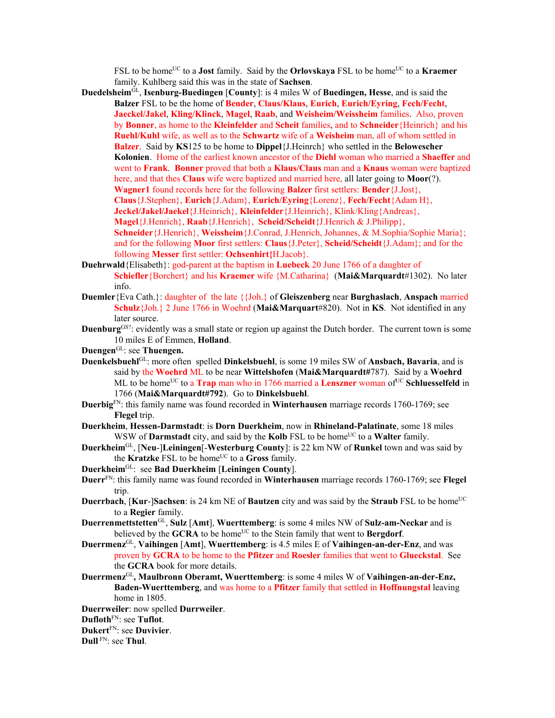FSL to be home<sup>UC</sup> to a **Jost** family. Said by the **Orlovskaya** FSL to be home<sup>UC</sup> to a **Kraemer** family. Kuhlberg said this was in the state of **Sachsen**.

- **Duedelsheim**GL, **Isenburg-Buedingen** [**County**]: is 4 miles W of **Buedingen, Hesse**, and is said the **Balzer** FSL to be the home of **Bender**, **Claus/Klaus**, **Eurich**, **Eurich/Eyring**, **Fech/Fecht**, **Jaeckel/Jakel**, **Kling/Klinck**, **Magel**, **Raab**, and **Weisheim/Weissheim** families. Also, proven by **Bonner**, as home to the **Kleinfelder** and **Scheit** families, and to **Schneider**{Heinrich} and his **Ruehl/Kuhl** wife, as well as to the **Schwartz** wife of a **Weisheim** man, all of whom settled in **Balzer**. Said by **KS**125 to be home to **Dippel**{J.Heinrch} who settled in the **Belowescher Kolonien**. Home of the earliest known ancestor of the **Diehl** woman who married a **Shaeffer** and went to **Frank**. **Bonner** proved that both a **Klaus/Claus** man and a **Knaus** woman were baptized here, and that thes **Claus** wife were baptized and married here, all later going to **Moor**(?). **Wagner1** found records here for the following **Balzer** first settlers: **Bender**{J.Jost}, **Claus**{J.Stephen}, **Eurich**{J.Adam}, **Eurich/Eyring**{Lorenz}, **Fech/Fecht**{Adam H}, **Jeckel/Jakel/Jaekel**{J.Heinrich}, **Kleinfelder**{J.Heinrich}, Klink/Kling{Andreas}, **Magel**{J.Henrich}, **Raab**{J.Henrich}, **Scheid/Scheidt**{J.Henrich & J.Philipp}, **Schneider**{J.Henrich}, **Weissheim**{J.Conrad, J.Henrich, Johannes, & M.Sophia/Sophie Maria}; and for the following **Moor** first settlers: **Claus**{J.Peter}, **Scheid/Scheidt**{J.Adam}; and for the following **Messer** first settler: **Ochsenhirt{**H.Jacob}.
- **Duehrwald**{Elisabeth}: god-parent at the baptism in **Luebeck** 20 June 1766 of a daughter of **Schiefler**{Borchert} and his **Kraemer** wife {M.Catharina} (**Mai&Marquardt**#1302). No later info.
- **Duemler**{Eva Cath.}: daughter of the late {{Joh.} of **Gleiszenberg** near **Burghaslach**, **Anspach** married **Schulz**{Joh.} 2 June 1766 in Woehrd (**Mai&Marquart**#820). Not in **KS**. Not identified in any later source.
- **Duenburg**<sup>GS?</sup>: evidently was a small state or region up against the Dutch border. The current town is some 10 miles E of Emmen, **Holland**.
- **Duengen**GL: see **Thuengen.**
- **Duenkelsbuehl**GL: more often spelled **Dinkelsbuehl**, is some 19 miles SW of **Ansbach, Bavaria**, and is said by the **Woehrd** ML to be near **Wittelshofen** (**Mai&Marquardt#**787).Said by a **Woehrd**  ML to be home<sup>UC</sup> to a **Trap** man who in 1766 married a **Lenszner** woman of<sup>UC</sup> Schluesselfeld in 1766 (**Mai&Marquardt#792**). Go to **Dinkelsbuehl**.
- **Duerbig**FN: this family name was found recorded in **Winterhausen** marriage records 1760-1769; see **Flegel** trip.
- **Duerkheim**, **Hessen-Darmstadt**: is **Dorn Duerkheim**, now in **Rhineland-Palatinate**, some 18 miles WSW of **Darmstadt** city, and said by the **Kolb** FSL to be home<sup>UC</sup> to a **Walter** family.
- **Duerkheim**GL, [**Neu**-]**Leiningen**[-**Westerburg County**]: is 22 km NW of **Runkel** town and was said by the **Kratzke** FSL to be home<sup>UC</sup> to a Gross family.
- **Duerkheim**GL: see **Bad Duerkheim** [**Leiningen County**].
- **Duerr**FN: this family name was found recorded in **Winterhausen** marriage records 1760-1769; see **Flegel** trip.
- **Duerrbach**, [Kur-]Sachsen: is 24 km NE of Bautzen city and was said by the Straub FSL to be home<sup>UC</sup> to a **Regier** family.
- **Duerrenmettstetten**GL, **Sulz** [**Amt**], **Wuerttemberg**: is some 4 miles NW of **Sulz-am-Neckar** and is believed by the **GCRA** to be home<sup>UC</sup> to the Stein family that went to **Bergdorf**.
- **Duerrmenz**GL, **Vaihingen** [**Amt**], **Wuerttemberg**: is 4.5 miles E of **Vaihingen-an-der-Enz**, and was proven by **GCRA** to be home to the **Pfitzer** and **Roesler** families that went to **Glueckstal**. See the **GCRA** book for more details.
- **Duerrmenz**GL**, Maulbronn Oberamt, Wuerttemberg**: is some 4 miles W of **Vaihingen-an-der-Enz, Baden-Wuerttemberg**, and was home to a **Pfitzer** family that settled in **Hoffnungstal** leaving home in 1805.
- **Duerrweiler**: now spelled **Durrweiler**.

**Dukert**FN: see **Duvivier**.

**Dull** FN: see **Thul**.

**Dufloth**FN: see **Tuflot**.